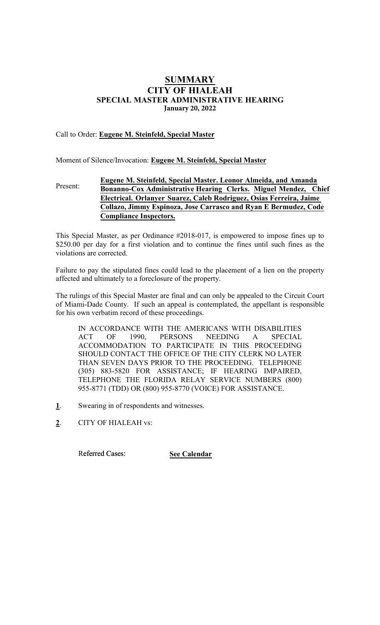# **SUMMARY** CITY OF HIALEAH SPECIAL MASTER ADMINISTRATIVE HEARING **January 20, 2022**

## Call to Order: Eugene M. Steinfeld, Special Master

Moment of Silence/Invocation: Eugene M. Steinfeld, Special Master

#### Present: Eugene M. Steinfeld, Special Master. Leonor **Almeida**, **and Amanda Bonanno-Cox** Administrative Hearing Clerk**s**. Miguel Mendez, Chief Electrical. Orlanyer Suarez, **Caleb Rodriguez, Osias Ferreira, Jaime Collazo, Jimmy Espinoza, Jose Carrasco and Ryan E Bermudez, Code Compliance Inspectors.**

This Special Master, as per Ordinance #2018-017, is empowered to impose fines up to \$250.00 per day for a first violation and to continue the fines until such fines as the violations are corrected.

Failure to pay the stipulated fines could lead to the placement of a lien on the property affected and ultimately to a foreclosure of the property.

The rulings of this Special Master are final and can only be appealed to the Circuit Court of Miami-Dade County. If such an appeal is contemplated, the appellant is responsible for his own verbatim record of these proceedings.

IN ACCORDANCE WITH THE AMERICANS WITH DISABILITIES ACT OF 1990, PERSONS NEEDING A SPECIAL ACCOMMODATION TO PARTICIPATE IN THIS PROCEEDING SHOULD CONTACT THE OFFICE OF THE CITY CLERK NO LATER THAN SEVEN DAYS PRIOR TO THE PROCEEDING. TELEPHONE (305) 883-5820 FOR ASSISTANCE; IF HEARING IMPAIRED, TELEPHONE THE FLORIDA RELAY SERVICE NUMBERS (800) 955-8771 (TDD) OR (800) 955-8770 (VOICE) FOR ASSISTANCE.

- 1. Swearing in of respondents and witnesses.
- 2. CITY OF HIALEAH vs:

Referred Cases: **See Calendar**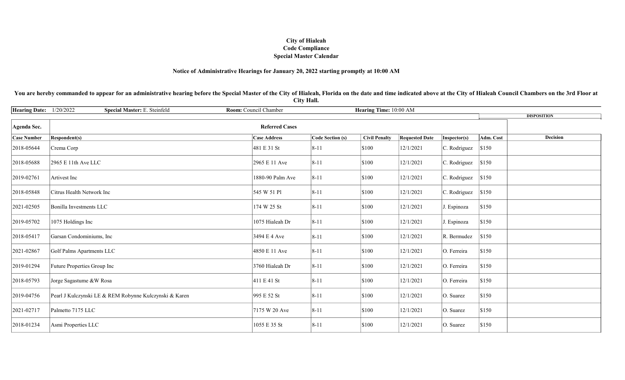## City of Hialeah Code Compliance Special Master Calendar

#### Notice of Administrative Hearings for January 20, 2022 starting promptly at 10:00 AM

You are hereby commanded to appear for an administrative hearing before the Special Master of the City of Hialeah, Florida on the date and time indicated above at the City of Hialeah Council Chambers on the 3rd Floor at City Hall.

| <b>Hearing Date:</b> | 1/20/2022<br>Special Master: E. Steinfeld              | Room: Council Chamber | Hearing Time: 10:00 AM  |                      |                       |              |           |                    |
|----------------------|--------------------------------------------------------|-----------------------|-------------------------|----------------------|-----------------------|--------------|-----------|--------------------|
|                      |                                                        |                       |                         |                      |                       |              |           | <b>DISPOSITION</b> |
| Agenda Sec.          |                                                        | <b>Referred Cases</b> |                         |                      |                       |              |           |                    |
| <b>Case Number</b>   | <b>Respondent(s)</b>                                   | <b>Case Address</b>   | <b>Code Section (s)</b> | <b>Civil Penalty</b> | <b>Requested Date</b> | Inspector(s) | Adm. Cost | <b>Decision</b>    |
| 2018-05644           | Crema Corp                                             | 481 E 31 St           | $8 - 11$                | \$100                | 12/1/2021             | C. Rodriguez | \$150     |                    |
| 2018-05688           | 2965 E 11th Ave LLC                                    | 2965 E 11 Ave         | $8 - 11$                | \$100                | 12/1/2021             | C. Rodriguez | \$150     |                    |
| 2019-02761           | Artivest Inc                                           | 1880-90 Palm Ave      | $8 - 11$                | \$100                | 12/1/2021             | C. Rodriguez | \$150     |                    |
| 2018-05848           | Citrus Health Network Inc                              | 545 W 51 Pl           | $8 - 11$                | \$100                | 12/1/2021             | C. Rodriguez | \$150     |                    |
| 2021-02505           | Bonilla Investments LLC                                | 174 W 25 St           | $8 - 11$                | \$100                | 12/1/2021             | J. Espinoza  | \$150     |                    |
| 2019-05702           | 1075 Holdings Inc                                      | 1075 Hialeah Dr       | $8 - 11$                | \$100                | 12/1/2021             | J. Espinoza  | \$150     |                    |
| 2018-05417           | Garsan Condominiums, Inc                               | 3494 E 4 Ave          | $8 - 11$                | \$100                | 12/1/2021             | R. Bermudez  | \$150     |                    |
| 2021-02867           | Golf Palms Apartments LLC                              | 4850 E 11 Ave         | $8 - 11$                | \$100                | 12/1/2021             | O. Ferreira  | \$150     |                    |
| 2019-01294           | Future Properties Group Inc                            | 3760 Hialeah Dr       | $8 - 11$                | \$100                | 12/1/2021             | O. Ferreira  | \$150     |                    |
| 2018-05793           | Jorge Sagastume &W Rosa                                | 411 E 41 St           | $8 - 11$                | \$100                | 12/1/2021             | O. Ferreira  | \$150     |                    |
| 2019-04756           | Pearl J Kulczynski LE & REM Robynne Kulczynski & Karen | 995 E 52 St           | $8 - 11$                | \$100                | 12/1/2021             | O. Suarez    | \$150     |                    |
| 2021-02717           | Palmetto 7175 LLC                                      | 7175 W 20 Ave         | $8 - 11$                | \$100                | 12/1/2021             | O. Suarez    | \$150     |                    |
| 2018-01234           | Asmi Properties LLC                                    | 1055 E 35 St          | $8 - 11$                | \$100                | 12/1/2021             | O. Suarez    | \$150     |                    |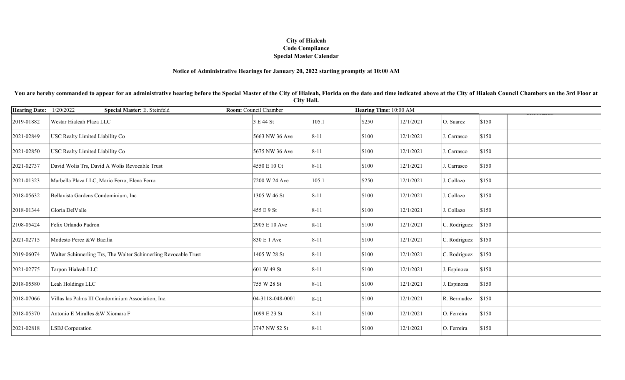## City of Hialeah Code Compliance Special Master Calendar

#### Notice of Administrative Hearings for January 20, 2022 starting promptly at 10:00 AM

You are hereby commanded to appear for an administrative hearing before the Special Master of the City of Hialeah, Florida on the date and time indicated above at the City of Hialeah Council Chambers on the 3rd Floor at City Hall.

| <b>Hearing Date:</b> | 1/20/2022<br>Special Master: E. Steinfeld                        | Room: Council Chamber |          | Hearing Time: 10:00 AM |           |              |       |
|----------------------|------------------------------------------------------------------|-----------------------|----------|------------------------|-----------|--------------|-------|
| 2019-01882           | Westar Hialeah Plaza LLC                                         | 3 E 44 St             | 105.1    | \$250                  | 12/1/2021 | O. Suarez    | \$150 |
| 2021-02849           | USC Realty Limited Liability Co                                  | 5663 NW 36 Ave        | $8 - 11$ | \$100                  | 12/1/2021 | J. Carrasco  | \$150 |
| 2021-02850           | USC Realty Limited Liability Co                                  | 5675 NW 36 Ave        | $8 - 11$ | \$100                  | 12/1/2021 | J. Carrasco  | \$150 |
| 2021-02737           | David Wolis Trs, David A Wolis Revocable Trust                   | 4550 E 10 Ct          | $8 - 11$ | \$100                  | 12/1/2021 | J. Carrasco  | \$150 |
| 2021-01323           | Marbella Plaza LLC, Mario Ferro, Elena Ferro                     | 7200 W 24 Ave         | 105.1    | \$250                  | 12/1/2021 | J. Collazo   | \$150 |
| 2018-05632           | Bellavista Gardens Condominium, Inc                              | 1305 W 46 St          | $8 - 11$ | \$100                  | 12/1/2021 | J. Collazo   | \$150 |
| 2018-01344           | Gloria DelValle                                                  | 455 E 9 St            | $8 - 11$ | \$100                  | 12/1/2021 | J. Collazo   | \$150 |
| 2108-05424           | Felix Orlando Padron                                             | 2905 E 10 Ave         | $8 - 11$ | \$100                  | 12/1/2021 | C. Rodriguez | \$150 |
| 2021-02715           | Modesto Perez &W Bacilia                                         | 830 E 1 Ave           | $8 - 11$ | \$100                  | 12/1/2021 | C. Rodriguez | \$150 |
| 2019-06074           | Walter Schinnerling Trs, The Walter Schinnerling Revocable Trust | 1405 W 28 St          | $8 - 11$ | \$100                  | 12/1/2021 | C. Rodriguez | \$150 |
| 2021-02775           | Tarpon Hialeah LLC                                               | 601 W 49 St           | $8 - 11$ | \$100                  | 12/1/2021 | J. Espinoza  | \$150 |
| 2018-05580           | Leah Holdings LLC                                                | 755 W 28 St           | $8 - 11$ | \$100                  | 12/1/2021 | J. Espinoza  | \$150 |
| 2018-07066           | Villas las Palms III Condominium Association, Inc.               | 04-3118-048-0001      | $8 - 11$ | \$100                  | 12/1/2021 | R. Bermudez  | \$150 |
| 2018-05370           | Antonio E Miralles &W Xiomara F                                  | 1099 E 23 St          | $8 - 11$ | \$100                  | 12/1/2021 | O. Ferreira  | \$150 |
| 2021-02818           | <b>LSBJ</b> Corporation                                          | 3747 NW 52 St         | $8 - 11$ | \$100                  | 12/1/2021 | O. Ferreira  | \$150 |